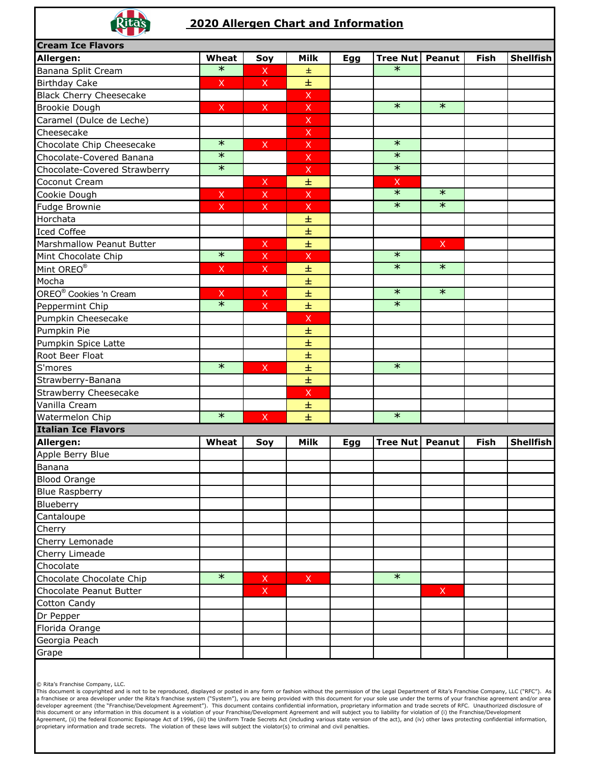

## **2020 Allergen Chart and Information**

| <b>The Second Second Second</b>    |                           |                                      |              |            |                   |                   |             |                  |
|------------------------------------|---------------------------|--------------------------------------|--------------|------------|-------------------|-------------------|-------------|------------------|
| <b>Cream Ice Flavors</b>           |                           |                                      |              |            |                   |                   |             |                  |
| Allergen:                          | <b>Wheat</b>              | Soy                                  | <b>Milk</b>  | <b>Egg</b> | Tree Nut   Peanut |                   | <b>Fish</b> | <b>Shellfish</b> |
| Banana Split Cream                 | $\ast$                    | X                                    | 士            |            | $\ast$            |                   |             |                  |
| <b>Birthday Cake</b>               | $\boldsymbol{\mathsf{X}}$ | $\mathsf{X}$                         | 王            |            |                   |                   |             |                  |
| <b>Black Cherry Cheesecake</b>     |                           |                                      | $\mathsf X$  |            |                   |                   |             |                  |
| <b>Brookie Dough</b>               | $\mathsf X$               | $\mathsf X$                          | $\mathsf X$  |            | $\ast$            | $\overline{\ast}$ |             |                  |
| Caramel (Dulce de Leche)           |                           |                                      | X            |            |                   |                   |             |                  |
| Cheesecake                         |                           |                                      | $\mathsf X$  |            |                   |                   |             |                  |
| Chocolate Chip Cheesecake          | $\ast$                    | $\mathsf X$                          | $\mathsf X$  |            | $\overline{\ast}$ |                   |             |                  |
| Chocolate-Covered Banana           | $\overline{\ast}$         |                                      | $\mathsf X$  |            | $\overline{\ast}$ |                   |             |                  |
| Chocolate-Covered Strawberry       | $\ast$                    |                                      | $\mathsf{X}$ |            | $\overline{\ast}$ |                   |             |                  |
| Coconut Cream                      |                           | $\mathsf X$                          | 士            |            | $\mathsf{X}$      |                   |             |                  |
| Cookie Dough                       | $\mathsf{X}$              | $\mathsf{X}$                         | $\mathsf{X}$ |            | $\ast$            | $\ast$            |             |                  |
| <b>Fudge Brownie</b>               | $\mathsf{X}$              | $\mathsf{X}$                         | $\mathsf{X}$ |            | $\overline{\ast}$ | $\ast$            |             |                  |
| Horchata                           |                           |                                      | 士            |            |                   |                   |             |                  |
| <b>Iced Coffee</b>                 |                           |                                      | 王            |            |                   |                   |             |                  |
| Marshmallow Peanut Butter          |                           | $\mathsf X$                          | 士            |            |                   | $\mathsf X$       |             |                  |
| Mint Chocolate Chip                | $\overline{\ast}$         | $\mathsf{X}$                         | X            |            | $\overline{\ast}$ |                   |             |                  |
| Mint OREO®                         | $\mathsf{X}$              | $\mathsf X$                          | 王            |            | $\ast$            | $\ast$            |             |                  |
| Mocha                              |                           |                                      | $\pm$        |            |                   |                   |             |                  |
| OREO <sup>®</sup> Cookies 'n Cream | $\mathsf X$               | $\mathsf X$                          | 王            |            | $\overline{\ast}$ | $\ast$            |             |                  |
| Peppermint Chip                    | $\ast$                    | X                                    | 王            |            | $\overline{\ast}$ |                   |             |                  |
| Pumpkin Cheesecake                 |                           |                                      | $\mathsf{X}$ |            |                   |                   |             |                  |
|                                    |                           |                                      | 士            |            |                   |                   |             |                  |
| Pumpkin Pie                        |                           |                                      |              |            |                   |                   |             |                  |
| Pumpkin Spice Latte                |                           |                                      | $\pm$        |            |                   |                   |             |                  |
| Root Beer Float                    | $\ast$                    |                                      | 王            |            | $\ast$            |                   |             |                  |
| S'mores                            |                           | $\mathsf X$                          | 王            |            |                   |                   |             |                  |
| Strawberry-Banana                  |                           |                                      | $\pm$        |            |                   |                   |             |                  |
| <b>Strawberry Cheesecake</b>       |                           |                                      | $\mathsf X$  |            |                   |                   |             |                  |
| Vanilla Cream                      |                           |                                      | 士            |            |                   |                   |             |                  |
| Watermelon Chip                    | $\ast$                    | $\mathsf{X}^{\scriptscriptstyle{+}}$ | 士            |            | $\ast$            |                   |             |                  |
| <b>Italian Ice Flavors</b>         |                           |                                      |              |            |                   |                   |             |                  |
| Allergen:                          | Wheat                     | Soy                                  | <b>Milk</b>  | <b>Egg</b> | <b>Tree Nut</b>   | Peanut            | <b>Fish</b> | <b>Shellfish</b> |
| Apple Berry Blue                   |                           |                                      |              |            |                   |                   |             |                  |
| Banana                             |                           |                                      |              |            |                   |                   |             |                  |
| <b>Blood Orange</b>                |                           |                                      |              |            |                   |                   |             |                  |
| <b>Blue Raspberry</b>              |                           |                                      |              |            |                   |                   |             |                  |
| Blueberry                          |                           |                                      |              |            |                   |                   |             |                  |
| Cantaloupe                         |                           |                                      |              |            |                   |                   |             |                  |
| Cherry                             |                           |                                      |              |            |                   |                   |             |                  |
| Cherry Lemonade                    |                           |                                      |              |            |                   |                   |             |                  |
| Cherry Limeade                     |                           |                                      |              |            |                   |                   |             |                  |
| Chocolate                          |                           |                                      |              |            |                   |                   |             |                  |
| Chocolate Chocolate Chip           | $\ast$                    | $\mathsf{X}$                         | $\mathsf{X}$ |            | $\ast$            |                   |             |                  |
| Chocolate Peanut Butter            |                           | $\mathsf{X}$                         |              |            |                   | $\mathsf{X}$      |             |                  |
| <b>Cotton Candy</b>                |                           |                                      |              |            |                   |                   |             |                  |
| Dr Pepper                          |                           |                                      |              |            |                   |                   |             |                  |
| Florida Orange                     |                           |                                      |              |            |                   |                   |             |                  |
| Georgia Peach                      |                           |                                      |              |            |                   |                   |             |                  |
| Grape                              |                           |                                      |              |            |                   |                   |             |                  |
|                                    |                           |                                      |              |            |                   |                   |             |                  |

© Rita's Franchise Company, LLC.

This document is copyrighted and is not to be reproduced, displayed or posted in any form or fashion without the permission of the Legal Department of Rita's Franchise Company, LLC ("RFC"). As a franchisee or area developer under the Rita's franchise system ("System"), you are being provided with this document for your sole use under the terms of your franchise agreement and/or area developer agreement (the "Franchise/Development Agreement"). This document contains confidential information, proprietary information and trade secrets of RFC. Unauthorized disclosure of this document or any information in this document is a violation of your Franchise/Development Agreement and will subject you to liability for violation of (i) the Franchise/Development Agreement, (ii) the federal Economic Espionage Act of 1996, (iii) the Uniform Trade Secrets Act (including various state version of the act), and (iv) other laws protecting confidential information, proprietary information and trade secrets. The violation of these laws will subject the violator(s) to criminal and civil penalties.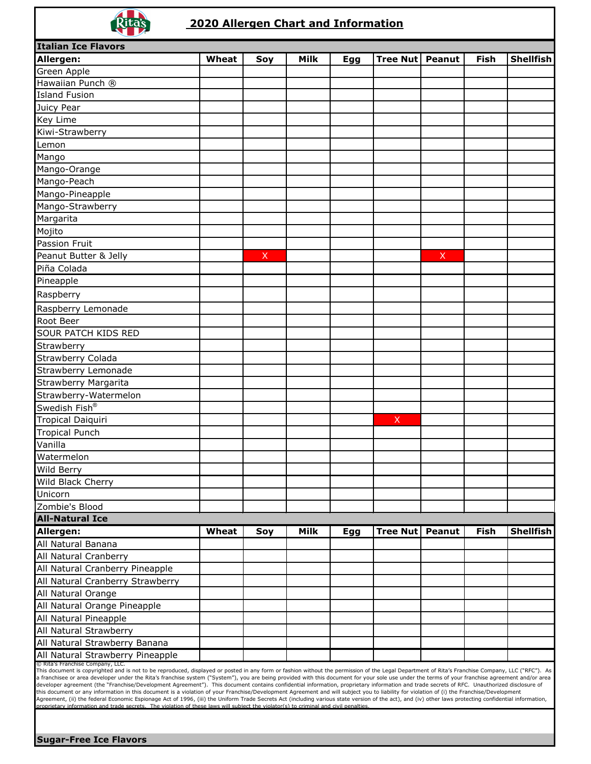

## **2020 Allergen Chart and Information**

| <b>NIV</b>                                                                                                                                                                                                                                                                                                                                                                                                                                                                                                                                                                                                                                                                                                                                                                                                                                                                                                                                                                                                                                                                                                                                        |              |              |             |            |                 |               |             |                  |
|---------------------------------------------------------------------------------------------------------------------------------------------------------------------------------------------------------------------------------------------------------------------------------------------------------------------------------------------------------------------------------------------------------------------------------------------------------------------------------------------------------------------------------------------------------------------------------------------------------------------------------------------------------------------------------------------------------------------------------------------------------------------------------------------------------------------------------------------------------------------------------------------------------------------------------------------------------------------------------------------------------------------------------------------------------------------------------------------------------------------------------------------------|--------------|--------------|-------------|------------|-----------------|---------------|-------------|------------------|
| <b>Italian Ice Flavors</b>                                                                                                                                                                                                                                                                                                                                                                                                                                                                                                                                                                                                                                                                                                                                                                                                                                                                                                                                                                                                                                                                                                                        |              |              |             |            |                 |               |             |                  |
| Allergen:                                                                                                                                                                                                                                                                                                                                                                                                                                                                                                                                                                                                                                                                                                                                                                                                                                                                                                                                                                                                                                                                                                                                         | Wheat        | Soy          | <b>Milk</b> | <b>Egg</b> | <b>Tree Nut</b> | <b>Peanut</b> | <b>Fish</b> | <b>Shellfish</b> |
| Green Apple                                                                                                                                                                                                                                                                                                                                                                                                                                                                                                                                                                                                                                                                                                                                                                                                                                                                                                                                                                                                                                                                                                                                       |              |              |             |            |                 |               |             |                  |
| Hawaiian Punch ®                                                                                                                                                                                                                                                                                                                                                                                                                                                                                                                                                                                                                                                                                                                                                                                                                                                                                                                                                                                                                                                                                                                                  |              |              |             |            |                 |               |             |                  |
| Island Fusion                                                                                                                                                                                                                                                                                                                                                                                                                                                                                                                                                                                                                                                                                                                                                                                                                                                                                                                                                                                                                                                                                                                                     |              |              |             |            |                 |               |             |                  |
| Juicy Pear                                                                                                                                                                                                                                                                                                                                                                                                                                                                                                                                                                                                                                                                                                                                                                                                                                                                                                                                                                                                                                                                                                                                        |              |              |             |            |                 |               |             |                  |
| <b>Key Lime</b>                                                                                                                                                                                                                                                                                                                                                                                                                                                                                                                                                                                                                                                                                                                                                                                                                                                                                                                                                                                                                                                                                                                                   |              |              |             |            |                 |               |             |                  |
| Kiwi-Strawberry                                                                                                                                                                                                                                                                                                                                                                                                                                                                                                                                                                                                                                                                                                                                                                                                                                                                                                                                                                                                                                                                                                                                   |              |              |             |            |                 |               |             |                  |
| Lemon                                                                                                                                                                                                                                                                                                                                                                                                                                                                                                                                                                                                                                                                                                                                                                                                                                                                                                                                                                                                                                                                                                                                             |              |              |             |            |                 |               |             |                  |
| Mango                                                                                                                                                                                                                                                                                                                                                                                                                                                                                                                                                                                                                                                                                                                                                                                                                                                                                                                                                                                                                                                                                                                                             |              |              |             |            |                 |               |             |                  |
| Mango-Orange                                                                                                                                                                                                                                                                                                                                                                                                                                                                                                                                                                                                                                                                                                                                                                                                                                                                                                                                                                                                                                                                                                                                      |              |              |             |            |                 |               |             |                  |
| Mango-Peach                                                                                                                                                                                                                                                                                                                                                                                                                                                                                                                                                                                                                                                                                                                                                                                                                                                                                                                                                                                                                                                                                                                                       |              |              |             |            |                 |               |             |                  |
| Mango-Pineapple                                                                                                                                                                                                                                                                                                                                                                                                                                                                                                                                                                                                                                                                                                                                                                                                                                                                                                                                                                                                                                                                                                                                   |              |              |             |            |                 |               |             |                  |
| Mango-Strawberry                                                                                                                                                                                                                                                                                                                                                                                                                                                                                                                                                                                                                                                                                                                                                                                                                                                                                                                                                                                                                                                                                                                                  |              |              |             |            |                 |               |             |                  |
| Margarita                                                                                                                                                                                                                                                                                                                                                                                                                                                                                                                                                                                                                                                                                                                                                                                                                                                                                                                                                                                                                                                                                                                                         |              |              |             |            |                 |               |             |                  |
| Mojito                                                                                                                                                                                                                                                                                                                                                                                                                                                                                                                                                                                                                                                                                                                                                                                                                                                                                                                                                                                                                                                                                                                                            |              |              |             |            |                 |               |             |                  |
| Passion Fruit                                                                                                                                                                                                                                                                                                                                                                                                                                                                                                                                                                                                                                                                                                                                                                                                                                                                                                                                                                                                                                                                                                                                     |              |              |             |            |                 |               |             |                  |
| Peanut Butter & Jelly                                                                                                                                                                                                                                                                                                                                                                                                                                                                                                                                                                                                                                                                                                                                                                                                                                                                                                                                                                                                                                                                                                                             |              | $\mathsf{X}$ |             |            |                 | X             |             |                  |
| Piña Colada                                                                                                                                                                                                                                                                                                                                                                                                                                                                                                                                                                                                                                                                                                                                                                                                                                                                                                                                                                                                                                                                                                                                       |              |              |             |            |                 |               |             |                  |
| Pineapple                                                                                                                                                                                                                                                                                                                                                                                                                                                                                                                                                                                                                                                                                                                                                                                                                                                                                                                                                                                                                                                                                                                                         |              |              |             |            |                 |               |             |                  |
| Raspberry                                                                                                                                                                                                                                                                                                                                                                                                                                                                                                                                                                                                                                                                                                                                                                                                                                                                                                                                                                                                                                                                                                                                         |              |              |             |            |                 |               |             |                  |
| Raspberry Lemonade                                                                                                                                                                                                                                                                                                                                                                                                                                                                                                                                                                                                                                                                                                                                                                                                                                                                                                                                                                                                                                                                                                                                |              |              |             |            |                 |               |             |                  |
| Root Beer                                                                                                                                                                                                                                                                                                                                                                                                                                                                                                                                                                                                                                                                                                                                                                                                                                                                                                                                                                                                                                                                                                                                         |              |              |             |            |                 |               |             |                  |
| <b>SOUR PATCH KIDS RED</b>                                                                                                                                                                                                                                                                                                                                                                                                                                                                                                                                                                                                                                                                                                                                                                                                                                                                                                                                                                                                                                                                                                                        |              |              |             |            |                 |               |             |                  |
| Strawberry                                                                                                                                                                                                                                                                                                                                                                                                                                                                                                                                                                                                                                                                                                                                                                                                                                                                                                                                                                                                                                                                                                                                        |              |              |             |            |                 |               |             |                  |
| <b>Strawberry Colada</b>                                                                                                                                                                                                                                                                                                                                                                                                                                                                                                                                                                                                                                                                                                                                                                                                                                                                                                                                                                                                                                                                                                                          |              |              |             |            |                 |               |             |                  |
| <b>Strawberry Lemonade</b>                                                                                                                                                                                                                                                                                                                                                                                                                                                                                                                                                                                                                                                                                                                                                                                                                                                                                                                                                                                                                                                                                                                        |              |              |             |            |                 |               |             |                  |
| <b>Strawberry Margarita</b>                                                                                                                                                                                                                                                                                                                                                                                                                                                                                                                                                                                                                                                                                                                                                                                                                                                                                                                                                                                                                                                                                                                       |              |              |             |            |                 |               |             |                  |
| Strawberry-Watermelon                                                                                                                                                                                                                                                                                                                                                                                                                                                                                                                                                                                                                                                                                                                                                                                                                                                                                                                                                                                                                                                                                                                             |              |              |             |            |                 |               |             |                  |
| Swedish Fish®                                                                                                                                                                                                                                                                                                                                                                                                                                                                                                                                                                                                                                                                                                                                                                                                                                                                                                                                                                                                                                                                                                                                     |              |              |             |            |                 |               |             |                  |
| <b>Tropical Daiquiri</b>                                                                                                                                                                                                                                                                                                                                                                                                                                                                                                                                                                                                                                                                                                                                                                                                                                                                                                                                                                                                                                                                                                                          |              |              |             |            | $\mathsf X$     |               |             |                  |
| <b>Tropical Punch</b>                                                                                                                                                                                                                                                                                                                                                                                                                                                                                                                                                                                                                                                                                                                                                                                                                                                                                                                                                                                                                                                                                                                             |              |              |             |            |                 |               |             |                  |
| Vanilla                                                                                                                                                                                                                                                                                                                                                                                                                                                                                                                                                                                                                                                                                                                                                                                                                                                                                                                                                                                                                                                                                                                                           |              |              |             |            |                 |               |             |                  |
| Watermelon                                                                                                                                                                                                                                                                                                                                                                                                                                                                                                                                                                                                                                                                                                                                                                                                                                                                                                                                                                                                                                                                                                                                        |              |              |             |            |                 |               |             |                  |
| <b>Wild Berry</b>                                                                                                                                                                                                                                                                                                                                                                                                                                                                                                                                                                                                                                                                                                                                                                                                                                                                                                                                                                                                                                                                                                                                 |              |              |             |            |                 |               |             |                  |
|                                                                                                                                                                                                                                                                                                                                                                                                                                                                                                                                                                                                                                                                                                                                                                                                                                                                                                                                                                                                                                                                                                                                                   |              |              |             |            |                 |               |             |                  |
| Wild Black Cherry                                                                                                                                                                                                                                                                                                                                                                                                                                                                                                                                                                                                                                                                                                                                                                                                                                                                                                                                                                                                                                                                                                                                 |              |              |             |            |                 |               |             |                  |
| Unicorn<br>Zombie's Blood                                                                                                                                                                                                                                                                                                                                                                                                                                                                                                                                                                                                                                                                                                                                                                                                                                                                                                                                                                                                                                                                                                                         |              |              |             |            |                 |               |             |                  |
| <b>All-Natural Ice</b>                                                                                                                                                                                                                                                                                                                                                                                                                                                                                                                                                                                                                                                                                                                                                                                                                                                                                                                                                                                                                                                                                                                            |              |              |             |            |                 |               |             |                  |
|                                                                                                                                                                                                                                                                                                                                                                                                                                                                                                                                                                                                                                                                                                                                                                                                                                                                                                                                                                                                                                                                                                                                                   | <b>Wheat</b> |              | <b>Milk</b> |            | <b>Tree Nut</b> | Peanut        | Fish        | <b>Shellfish</b> |
| Allergen:<br>All Natural Banana                                                                                                                                                                                                                                                                                                                                                                                                                                                                                                                                                                                                                                                                                                                                                                                                                                                                                                                                                                                                                                                                                                                   |              | Soy          |             | Egg        |                 |               |             |                  |
|                                                                                                                                                                                                                                                                                                                                                                                                                                                                                                                                                                                                                                                                                                                                                                                                                                                                                                                                                                                                                                                                                                                                                   |              |              |             |            |                 |               |             |                  |
| All Natural Cranberry                                                                                                                                                                                                                                                                                                                                                                                                                                                                                                                                                                                                                                                                                                                                                                                                                                                                                                                                                                                                                                                                                                                             |              |              |             |            |                 |               |             |                  |
| All Natural Cranberry Pineapple                                                                                                                                                                                                                                                                                                                                                                                                                                                                                                                                                                                                                                                                                                                                                                                                                                                                                                                                                                                                                                                                                                                   |              |              |             |            |                 |               |             |                  |
| All Natural Cranberry Strawberry<br>All Natural Orange                                                                                                                                                                                                                                                                                                                                                                                                                                                                                                                                                                                                                                                                                                                                                                                                                                                                                                                                                                                                                                                                                            |              |              |             |            |                 |               |             |                  |
|                                                                                                                                                                                                                                                                                                                                                                                                                                                                                                                                                                                                                                                                                                                                                                                                                                                                                                                                                                                                                                                                                                                                                   |              |              |             |            |                 |               |             |                  |
| All Natural Orange Pineapple                                                                                                                                                                                                                                                                                                                                                                                                                                                                                                                                                                                                                                                                                                                                                                                                                                                                                                                                                                                                                                                                                                                      |              |              |             |            |                 |               |             |                  |
| All Natural Pineapple<br>All Natural Strawberry                                                                                                                                                                                                                                                                                                                                                                                                                                                                                                                                                                                                                                                                                                                                                                                                                                                                                                                                                                                                                                                                                                   |              |              |             |            |                 |               |             |                  |
|                                                                                                                                                                                                                                                                                                                                                                                                                                                                                                                                                                                                                                                                                                                                                                                                                                                                                                                                                                                                                                                                                                                                                   |              |              |             |            |                 |               |             |                  |
| All Natural Strawberry Banana                                                                                                                                                                                                                                                                                                                                                                                                                                                                                                                                                                                                                                                                                                                                                                                                                                                                                                                                                                                                                                                                                                                     |              |              |             |            |                 |               |             |                  |
| All Natural Strawberry Pineapple<br>© Rita's Franchise Company, LLC.                                                                                                                                                                                                                                                                                                                                                                                                                                                                                                                                                                                                                                                                                                                                                                                                                                                                                                                                                                                                                                                                              |              |              |             |            |                 |               |             |                  |
| This document is copyrighted and is not to be reproduced, displayed or posted in any form or fashion without the permission of the Legal Department of Rita's Franchise Company, LLC ("RFC"). As<br>a franchisee or area developer under the Rita's franchise system ("System"), you are being provided with this document for your sole use under the terms of your franchise agreement and/or area<br>developer agreement (the "Franchise/Development Agreement"). This document contains confidential information, proprietary information and trade secrets of RFC. Unauthorized disclosure of<br>this document or any information in this document is a violation of your Franchise/Development Agreement and will subject you to liability for violation of (i) the Franchise/Development<br>Agreement, (ii) the federal Economic Espionage Act of 1996, (iii) the Uniform Trade Secrets Act (including various state version of the act), and (iv) other laws protecting confidential information,<br>proprietary information and trade secrets. The violation of these laws will subiect the violator(s) to criminal and civil penalties. |              |              |             |            |                 |               |             |                  |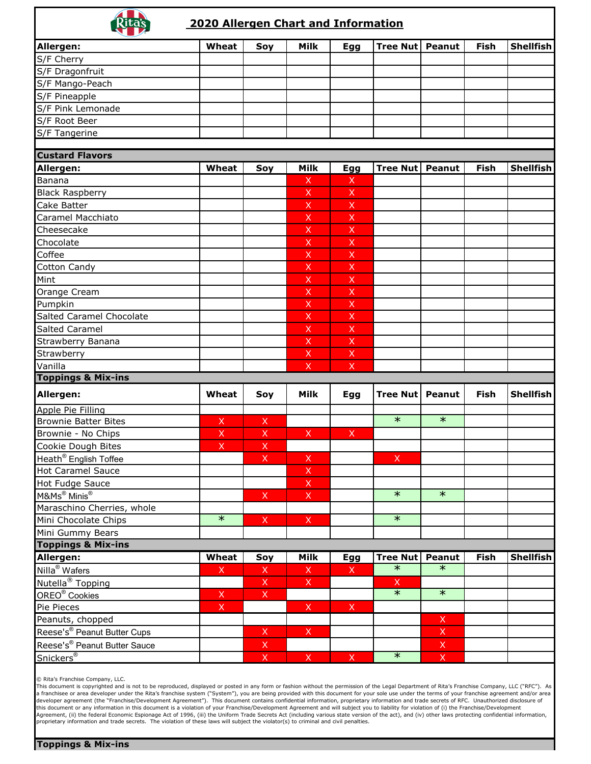|                                          | <b>2020 Allergen Chart and Information</b> |              |                                      |                                        |                   |                                      |             |                  |
|------------------------------------------|--------------------------------------------|--------------|--------------------------------------|----------------------------------------|-------------------|--------------------------------------|-------------|------------------|
| Allergen:                                | Wheat                                      | Soy          | <b>Milk</b>                          | <b>Egg</b>                             | <b>Tree Nut</b>   | <b>Peanut</b>                        | <b>Fish</b> | <b>Shellfish</b> |
| S/F Cherry                               |                                            |              |                                      |                                        |                   |                                      |             |                  |
| S/F Dragonfruit                          |                                            |              |                                      |                                        |                   |                                      |             |                  |
| S/F Mango-Peach                          |                                            |              |                                      |                                        |                   |                                      |             |                  |
| S/F Pineapple                            |                                            |              |                                      |                                        |                   |                                      |             |                  |
| S/F Pink Lemonade                        |                                            |              |                                      |                                        |                   |                                      |             |                  |
| S/F Root Beer                            |                                            |              |                                      |                                        |                   |                                      |             |                  |
| S/F Tangerine                            |                                            |              |                                      |                                        |                   |                                      |             |                  |
|                                          |                                            |              |                                      |                                        |                   |                                      |             |                  |
| <b>Custard Flavors</b>                   |                                            |              |                                      |                                        |                   |                                      |             |                  |
| Allergen:                                | Wheat                                      | Soy          | <b>Milk</b>                          | <b>Egg</b>                             | Tree Nut          | <b>Peanut</b>                        | <b>Fish</b> | <b>Shellfish</b> |
| <b>Banana</b>                            |                                            |              | $\boldsymbol{\mathsf{X}}$            | X                                      |                   |                                      |             |                  |
| <b>Black Raspberry</b>                   |                                            |              | X                                    | X                                      |                   |                                      |             |                  |
| Cake Batter                              |                                            |              | $\boldsymbol{\mathsf{X}}$            | $\mathsf{X}$                           |                   |                                      |             |                  |
| Caramel Macchiato                        |                                            |              | $\mathsf{X}$                         | X                                      |                   |                                      |             |                  |
| Cheesecake                               |                                            |              | $\mathsf{X}$                         | X                                      |                   |                                      |             |                  |
| Chocolate                                |                                            |              | $\mathsf{X}$                         | X                                      |                   |                                      |             |                  |
| Coffee                                   |                                            |              | X                                    | X                                      |                   |                                      |             |                  |
| <b>Cotton Candy</b>                      |                                            |              | $\boldsymbol{\mathsf{X}}$            | $\mathsf{X}$                           |                   |                                      |             |                  |
| Mint                                     |                                            |              | $\mathsf{X}$                         | X                                      |                   |                                      |             |                  |
| Orange Cream                             |                                            |              | $\mathsf{X}$                         | X                                      |                   |                                      |             |                  |
| Pumpkin                                  |                                            |              | $\mathsf{X}$                         | X                                      |                   |                                      |             |                  |
| Salted Caramel Chocolate                 |                                            |              | $\mathsf{X}$                         | X                                      |                   |                                      |             |                  |
| <b>Salted Caramel</b>                    |                                            |              | $\boldsymbol{\mathsf{X}}$            | $\mathsf{X}$                           |                   |                                      |             |                  |
| Strawberry Banana                        |                                            |              | X                                    | X                                      |                   |                                      |             |                  |
| Strawberry                               |                                            |              | $\mathsf{X}$                         | X                                      |                   |                                      |             |                  |
| Vanilla                                  |                                            |              | X                                    | $\mathsf{X}$                           |                   |                                      |             |                  |
| <b>Toppings &amp; Mix-ins</b>            |                                            |              |                                      |                                        |                   |                                      |             |                  |
| Allergen:                                | Wheat                                      | Soy          | Milk                                 | <b>Egg</b>                             | Tree Nut   Peanut |                                      | Fish        | <b>Shellfish</b> |
| Apple Pie Filling                        |                                            |              |                                      |                                        |                   |                                      |             |                  |
| <b>Brownie Batter Bites</b>              | $\mathsf X$                                | $\mathsf X$  |                                      |                                        | $\ast$            | $\overline{\ast}$                    |             |                  |
| Brownie - No Chips                       | $\mathsf X$                                | $\mathsf X$  | $\mathsf{X}$                         | X                                      |                   |                                      |             |                  |
| Cookie Dough Bites                       | $\mathsf{X}$                               | $\mathsf{X}$ |                                      |                                        |                   |                                      |             |                  |
| Heath <sup>®</sup> English Toffee        |                                            | $\mathsf X$  | $\mathsf X$                          |                                        | $\mathsf{X}$      |                                      |             |                  |
| <b>Hot Caramel Sauce</b>                 |                                            |              | $\mathsf{X}$                         |                                        |                   |                                      |             |                  |
| Hot Fudge Sauce                          |                                            |              | $\mathsf X$                          |                                        |                   |                                      |             |                  |
| M&Ms <sup>®</sup> Minis <sup>®</sup>     |                                            | $\mathsf X$  | X                                    |                                        | $\bigstar$        | $\overline{\ast}$                    |             |                  |
| Maraschino Cherries, whole               |                                            |              |                                      |                                        |                   |                                      |             |                  |
| Mini Chocolate Chips                     | $\bigstar$                                 | $\mathsf X$  | X                                    |                                        | $\ast$            |                                      |             |                  |
| Mini Gummy Bears                         |                                            |              |                                      |                                        |                   |                                      |             |                  |
| <b>Toppings &amp; Mix-ins</b>            |                                            |              |                                      |                                        |                   |                                      |             |                  |
| Allergen:                                | Wheat                                      | Soy          | <b>Milk</b>                          | Egg                                    | <b>Tree Nut</b>   | Peanut                               | <b>Fish</b> | <b>Shellfish</b> |
| Nilla <sup>®</sup> Wafers                | X                                          | $\mathsf{X}$ | X                                    | X                                      | $\overline{\ast}$ | $\overline{\ast}$                    |             |                  |
| Nutella <sup>®</sup> Topping             |                                            | $\mathsf X$  | $\mathsf{X}^{\scriptscriptstyle{+}}$ |                                        | $\mathsf X$       |                                      |             |                  |
| OREO <sup>®</sup> Cookies                | $\mathsf{X}$                               | $\mathsf{X}$ |                                      |                                        | $\overline{\ast}$ | $\overline{\ast}$                    |             |                  |
| Pie Pieces                               | $\mathsf X$                                |              | $\mathsf X$                          | $\mathsf{X}^{\scriptscriptstyle \top}$ |                   |                                      |             |                  |
| Peanuts, chopped                         |                                            |              |                                      |                                        |                   | $\mathsf X$                          |             |                  |
| Reese's <sup>®</sup> Peanut Butter Cups  |                                            | $\mathsf X$  | X                                    |                                        |                   | $\mathsf X$                          |             |                  |
| Reese's <sup>®</sup> Peanut Butter Sauce |                                            | $\mathsf X$  |                                      |                                        |                   | $\mathsf{X}$                         |             |                  |
| Snickers®                                |                                            | $\mathsf X$  | $\mathsf X$                          | $\mathsf X$                            | $\overline{\ast}$ | $\mathsf{X}^{\scriptscriptstyle{+}}$ |             |                  |
|                                          |                                            |              |                                      |                                        |                   |                                      |             |                  |

© Rita's Franchise Company, LLC.

This document is copyrighted and is not to be reproduced, displayed or posted in any form or fashion without the permission of the Legal Department of Rita's Franchise Company, LLC ("RFC"). As a franchisee or area developer under the Rita's franchise system ("System"), you are being provided with this document for your sole use under the terms of your franchise agreement and/or area developer agreement (the "Franchise/Development Agreement"). This document contains confidential information, proprietary information and trade secrets of RFC. Unauthorized disclosure of this document or any information in this document is a violation of your Franchise/Development Agreement and will subject you to liability for violation of (i) the Franchise/Development Agreement, (ii) the federal Economic Espionage Act of 1996, (iii) the Uniform Trade Secrets Act (including various state version of the act), and (iv) other laws protecting confidential information, proprietary information and trade secrets. The violation of these laws will subject the violator(s) to criminal and civil penalties.